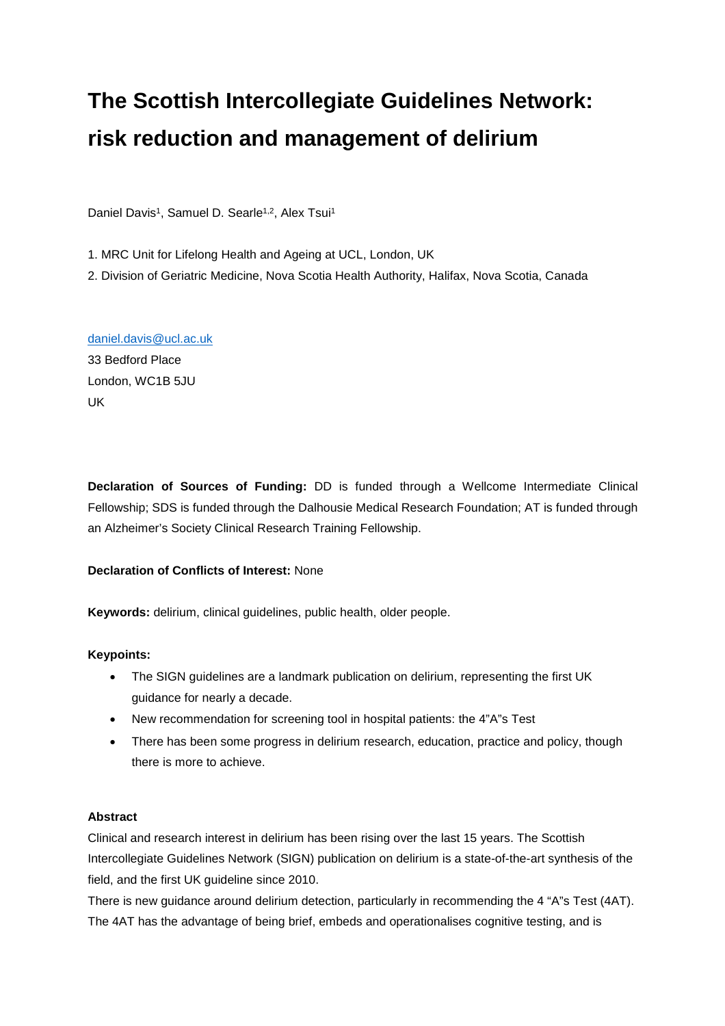# **The Scottish Intercollegiate Guidelines Network: risk reduction and management of delirium**

Daniel Davis<sup>1</sup>, Samuel D. Searle<sup>1,2</sup>, Alex Tsui<sup>1</sup>

1. MRC Unit for Lifelong Health and Ageing at UCL, London, UK

2. Division of Geriatric Medicine, Nova Scotia Health Authority, Halifax, Nova Scotia, Canada

[daniel.davis@ucl.ac.uk](mailto:daniel.davis@ucl.ac.uk)  33 Bedford Place London, WC1B 5JU UK

**Declaration of Sources of Funding:** DD is funded through a Wellcome Intermediate Clinical Fellowship; SDS is funded through the Dalhousie Medical Research Foundation; AT is funded through an Alzheimer's Society Clinical Research Training Fellowship.

# **Declaration of Conflicts of Interest:** None

**Keywords:** delirium, clinical guidelines, public health, older people.

# **Keypoints:**

- The SIGN guidelines are a landmark publication on delirium, representing the first UK guidance for nearly a decade.
- New recommendation for screening tool in hospital patients: the 4"A"s Test
- There has been some progress in delirium research, education, practice and policy, though there is more to achieve.

#### **Abstract**

Clinical and research interest in delirium has been rising over the last 15 years. The Scottish Intercollegiate Guidelines Network (SIGN) publication on delirium is a state-of-the-art synthesis of the field, and the first UK guideline since 2010.

There is new guidance around delirium detection, particularly in recommending the 4 "A"s Test (4AT). The 4AT has the advantage of being brief, embeds and operationalises cognitive testing, and is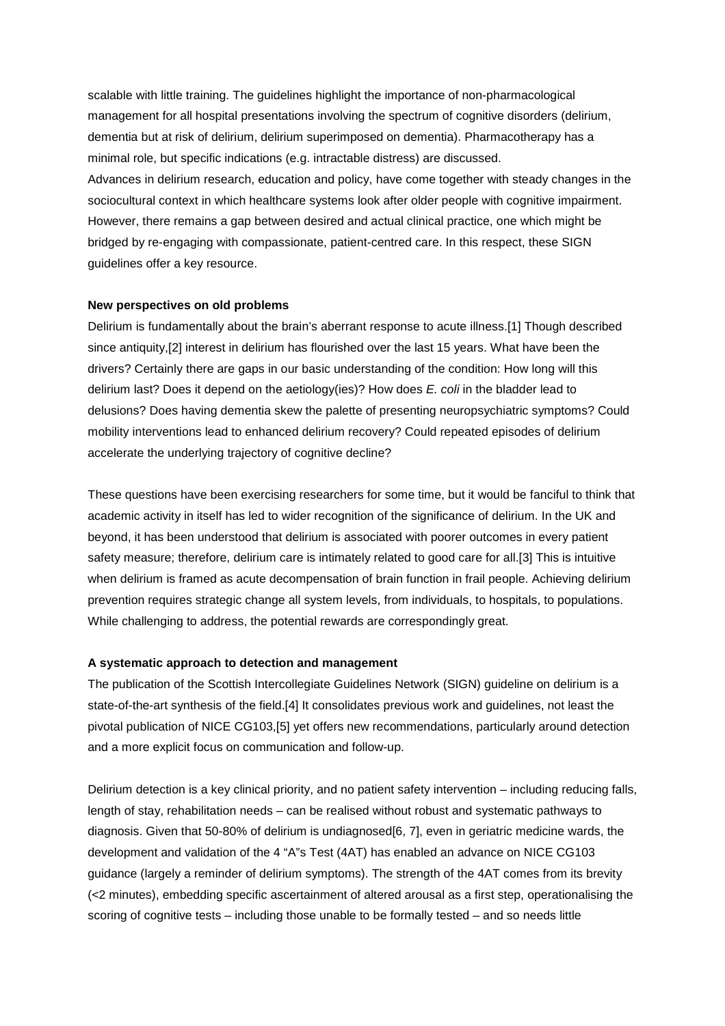scalable with little training. The guidelines highlight the importance of non-pharmacological management for all hospital presentations involving the spectrum of cognitive disorders (delirium, dementia but at risk of delirium, delirium superimposed on dementia). Pharmacotherapy has a minimal role, but specific indications (e.g. intractable distress) are discussed. Advances in delirium research, education and policy, have come together with steady changes in the sociocultural context in which healthcare systems look after older people with cognitive impairment. However, there remains a gap between desired and actual clinical practice, one which might be bridged by re-engaging with compassionate, patient-centred care. In this respect, these SIGN guidelines offer a key resource.

#### **New perspectives on old problems**

Delirium is fundamentally about the brain's aberrant response to acute illness.[1] Though described since antiquity,[2] interest in delirium has flourished over the last 15 years. What have been the drivers? Certainly there are gaps in our basic understanding of the condition: How long will this delirium last? Does it depend on the aetiology(ies)? How does *E. coli* in the bladder lead to delusions? Does having dementia skew the palette of presenting neuropsychiatric symptoms? Could mobility interventions lead to enhanced delirium recovery? Could repeated episodes of delirium accelerate the underlying trajectory of cognitive decline?

These questions have been exercising researchers for some time, but it would be fanciful to think that academic activity in itself has led to wider recognition of the significance of delirium. In the UK and beyond, it has been understood that delirium is associated with poorer outcomes in every patient safety measure; therefore, delirium care is intimately related to good care for all.[3] This is intuitive when delirium is framed as acute decompensation of brain function in frail people. Achieving delirium prevention requires strategic change all system levels, from individuals, to hospitals, to populations. While challenging to address, the potential rewards are correspondingly great.

### **A systematic approach to detection and management**

The publication of the Scottish Intercollegiate Guidelines Network (SIGN) guideline on delirium is a state-of-the-art synthesis of the field.[4] It consolidates previous work and guidelines, not least the pivotal publication of NICE CG103,[5] yet offers new recommendations, particularly around detection and a more explicit focus on communication and follow-up.

Delirium detection is a key clinical priority, and no patient safety intervention – including reducing falls, length of stay, rehabilitation needs – can be realised without robust and systematic pathways to diagnosis. Given that 50-80% of delirium is undiagnosed[6, 7], even in geriatric medicine wards, the development and validation of the 4 "A"s Test (4AT) has enabled an advance on NICE CG103 guidance (largely a reminder of delirium symptoms). The strength of the 4AT comes from its brevity (<2 minutes), embedding specific ascertainment of altered arousal as a first step, operationalising the scoring of cognitive tests – including those unable to be formally tested – and so needs little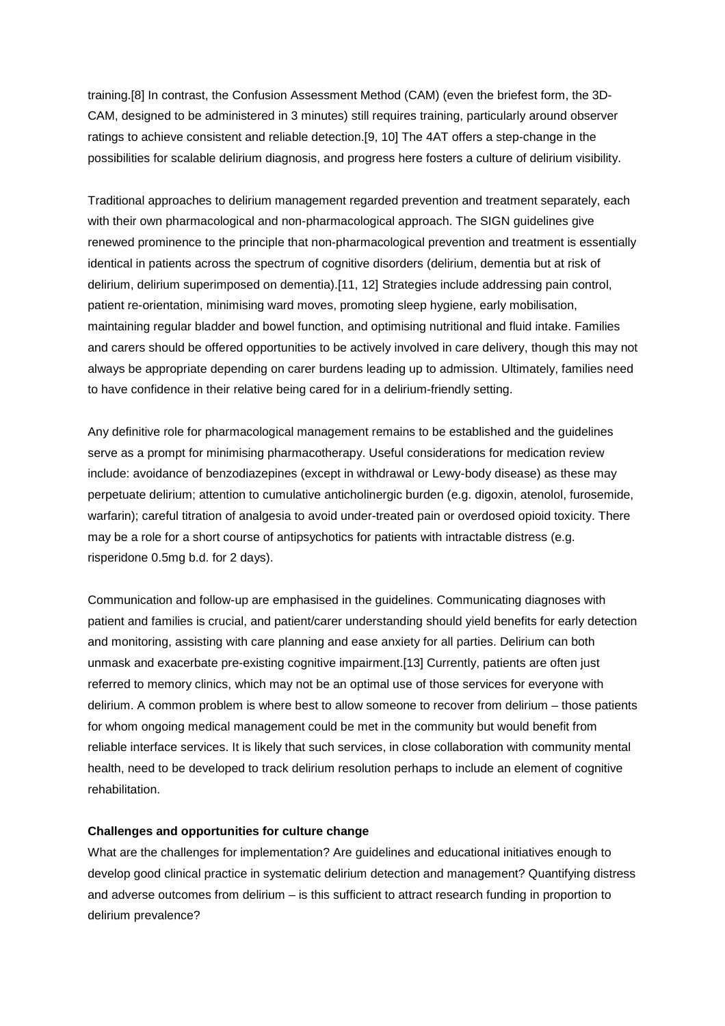training.[8] In contrast, the Confusion Assessment Method (CAM) (even the briefest form, the 3D-CAM, designed to be administered in 3 minutes) still requires training, particularly around observer ratings to achieve consistent and reliable detection.[9, 10] The 4AT offers a step-change in the possibilities for scalable delirium diagnosis, and progress here fosters a culture of delirium visibility.

Traditional approaches to delirium management regarded prevention and treatment separately, each with their own pharmacological and non-pharmacological approach. The SIGN guidelines give renewed prominence to the principle that non-pharmacological prevention and treatment is essentially identical in patients across the spectrum of cognitive disorders (delirium, dementia but at risk of delirium, delirium superimposed on dementia).[11, 12] Strategies include addressing pain control, patient re-orientation, minimising ward moves, promoting sleep hygiene, early mobilisation, maintaining regular bladder and bowel function, and optimising nutritional and fluid intake. Families and carers should be offered opportunities to be actively involved in care delivery, though this may not always be appropriate depending on carer burdens leading up to admission. Ultimately, families need to have confidence in their relative being cared for in a delirium-friendly setting.

Any definitive role for pharmacological management remains to be established and the guidelines serve as a prompt for minimising pharmacotherapy. Useful considerations for medication review include: avoidance of benzodiazepines (except in withdrawal or Lewy-body disease) as these may perpetuate delirium; attention to cumulative anticholinergic burden (e.g. digoxin, atenolol, furosemide, warfarin); careful titration of analgesia to avoid under-treated pain or overdosed opioid toxicity. There may be a role for a short course of antipsychotics for patients with intractable distress (e.g. risperidone 0.5mg b.d. for 2 days).

Communication and follow-up are emphasised in the guidelines. Communicating diagnoses with patient and families is crucial, and patient/carer understanding should yield benefits for early detection and monitoring, assisting with care planning and ease anxiety for all parties. Delirium can both unmask and exacerbate pre-existing cognitive impairment.[13] Currently, patients are often just referred to memory clinics, which may not be an optimal use of those services for everyone with delirium. A common problem is where best to allow someone to recover from delirium – those patients for whom ongoing medical management could be met in the community but would benefit from reliable interface services. It is likely that such services, in close collaboration with community mental health, need to be developed to track delirium resolution perhaps to include an element of cognitive rehabilitation.

### **Challenges and opportunities for culture change**

What are the challenges for implementation? Are guidelines and educational initiatives enough to develop good clinical practice in systematic delirium detection and management? Quantifying distress and adverse outcomes from delirium – is this sufficient to attract research funding in proportion to delirium prevalence?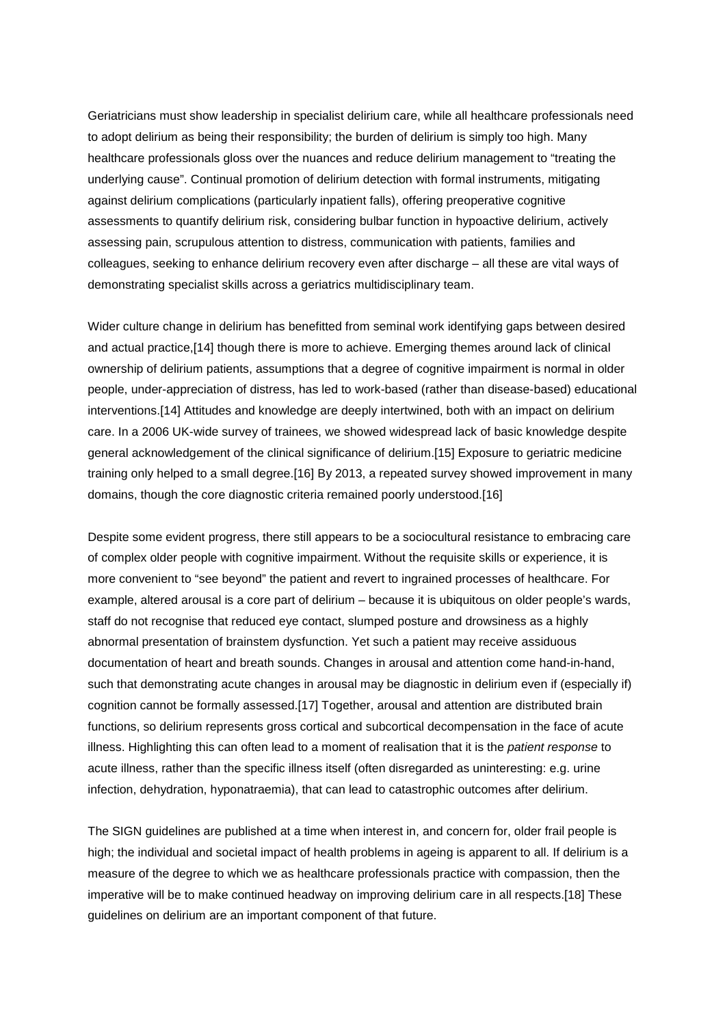Geriatricians must show leadership in specialist delirium care, while all healthcare professionals need to adopt delirium as being their responsibility; the burden of delirium is simply too high. Many healthcare professionals gloss over the nuances and reduce delirium management to "treating the underlying cause". Continual promotion of delirium detection with formal instruments, mitigating against delirium complications (particularly inpatient falls), offering preoperative cognitive assessments to quantify delirium risk, considering bulbar function in hypoactive delirium, actively assessing pain, scrupulous attention to distress, communication with patients, families and colleagues, seeking to enhance delirium recovery even after discharge – all these are vital ways of demonstrating specialist skills across a geriatrics multidisciplinary team.

Wider culture change in delirium has benefitted from seminal work identifying gaps between desired and actual practice,[14] though there is more to achieve. Emerging themes around lack of clinical ownership of delirium patients, assumptions that a degree of cognitive impairment is normal in older people, under-appreciation of distress, has led to work-based (rather than disease-based) educational interventions.[14] Attitudes and knowledge are deeply intertwined, both with an impact on delirium care. In a 2006 UK-wide survey of trainees, we showed widespread lack of basic knowledge despite general acknowledgement of the clinical significance of delirium.[15] Exposure to geriatric medicine training only helped to a small degree.[16] By 2013, a repeated survey showed improvement in many domains, though the core diagnostic criteria remained poorly understood.[16]

Despite some evident progress, there still appears to be a sociocultural resistance to embracing care of complex older people with cognitive impairment. Without the requisite skills or experience, it is more convenient to "see beyond" the patient and revert to ingrained processes of healthcare. For example, altered arousal is a core part of delirium – because it is ubiquitous on older people's wards, staff do not recognise that reduced eye contact, slumped posture and drowsiness as a highly abnormal presentation of brainstem dysfunction. Yet such a patient may receive assiduous documentation of heart and breath sounds. Changes in arousal and attention come hand-in-hand, such that demonstrating acute changes in arousal may be diagnostic in delirium even if (especially if) cognition cannot be formally assessed.[17] Together, arousal and attention are distributed brain functions, so delirium represents gross cortical and subcortical decompensation in the face of acute illness. Highlighting this can often lead to a moment of realisation that it is the *patient response* to acute illness, rather than the specific illness itself (often disregarded as uninteresting: e.g. urine infection, dehydration, hyponatraemia), that can lead to catastrophic outcomes after delirium.

The SIGN guidelines are published at a time when interest in, and concern for, older frail people is high; the individual and societal impact of health problems in ageing is apparent to all. If delirium is a measure of the degree to which we as healthcare professionals practice with compassion, then the imperative will be to make continued headway on improving delirium care in all respects.[18] These guidelines on delirium are an important component of that future.